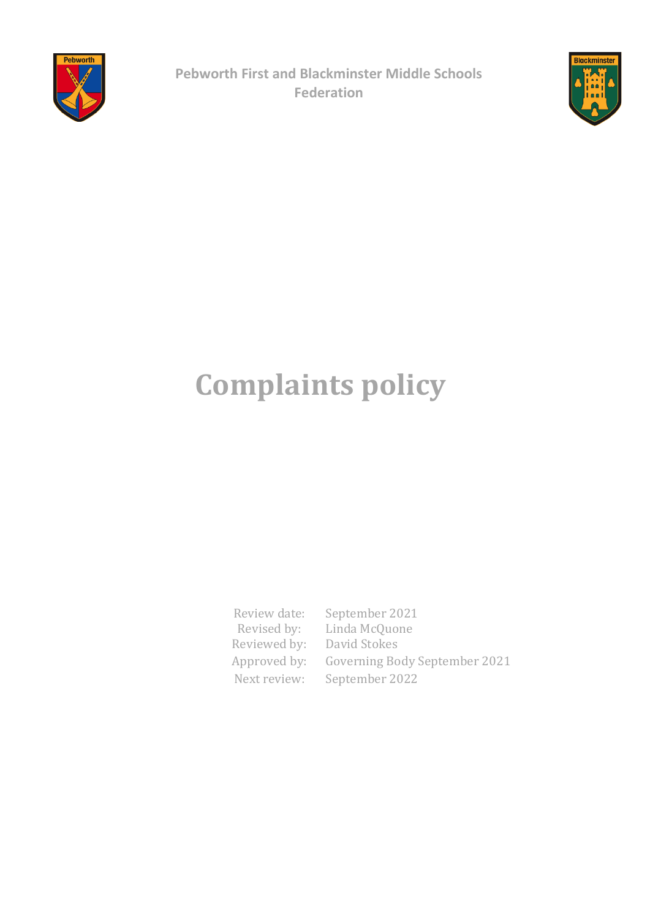

**Pebworth First and Blackminster Middle Schools Federation**



# **Complaints policy**

Review date: September 2021 Revised by: Linda McQuone Reviewed by: David Stokes Approved by: Governing Body September 2021 Next review: September 2022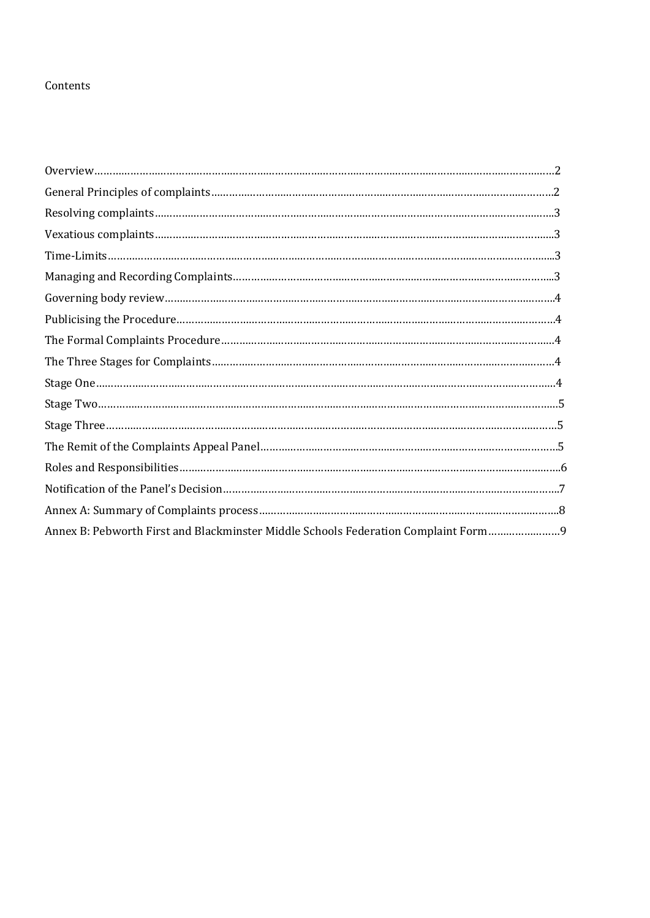#### Contents

| Annex B: Pebworth First and Blackminster Middle Schools Federation Complaint Form |  |
|-----------------------------------------------------------------------------------|--|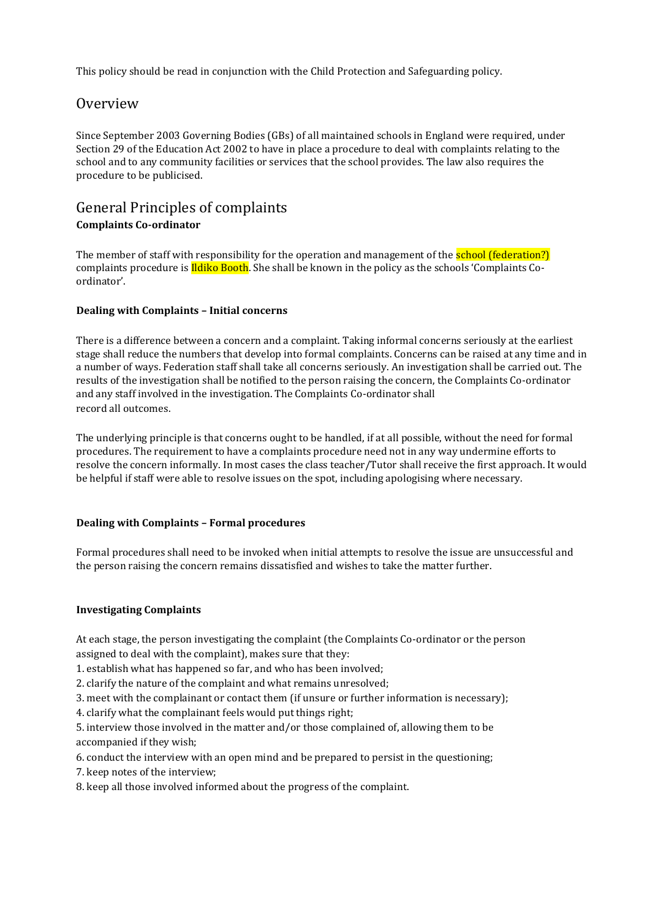This policy should be read in conjunction with the Child Protection and Safeguarding policy.

# **Overview**

Since September 2003 Governing Bodies (GBs) of all maintained schools in England were required, under Section 29 of the Education Act 2002 to have in place a procedure to deal with complaints relating to the school and to any community facilities or services that the school provides. The law also requires the procedure to be publicised.

# General Principles of complaints **Complaints Co-ordinator**

The member of staff with responsibility for the operation and management of the **school (federation?)** complaints procedure is *Ildiko Booth*. She shall be known in the policy as the schools 'Complaints Coordinator'.

#### **Dealing with Complaints – Initial concerns**

There is a difference between a concern and a complaint. Taking informal concerns seriously at the earliest stage shall reduce the numbers that develop into formal complaints. Concerns can be raised at any time and in a number of ways. Federation staff shall take all concerns seriously. An investigation shall be carried out. The results of the investigation shall be notified to the person raising the concern, the Complaints Co-ordinator and any staff involved in the investigation. The Complaints Co-ordinator shall record all outcomes.

The underlying principle is that concerns ought to be handled, if at all possible, without the need for formal procedures. The requirement to have a complaints procedure need not in any way undermine efforts to resolve the concern informally. In most cases the class teacher/Tutor shall receive the first approach. It would be helpful if staff were able to resolve issues on the spot, including apologising where necessary.

#### **Dealing with Complaints – Formal procedures**

Formal procedures shall need to be invoked when initial attempts to resolve the issue are unsuccessful and the person raising the concern remains dissatisfied and wishes to take the matter further.

#### **Investigating Complaints**

At each stage, the person investigating the complaint (the Complaints Co-ordinator or the person assigned to deal with the complaint), makes sure that they:

1. establish what has happened so far, and who has been involved;

2. clarify the nature of the complaint and what remains unresolved;

3. meet with the complainant or contact them (if unsure or further information is necessary);

4. clarify what the complainant feels would put things right;

5. interview those involved in the matter and/or those complained of, allowing them to be accompanied if they wish;

6. conduct the interview with an open mind and be prepared to persist in the questioning;

7. keep notes of the interview;

8. keep all those involved informed about the progress of the complaint.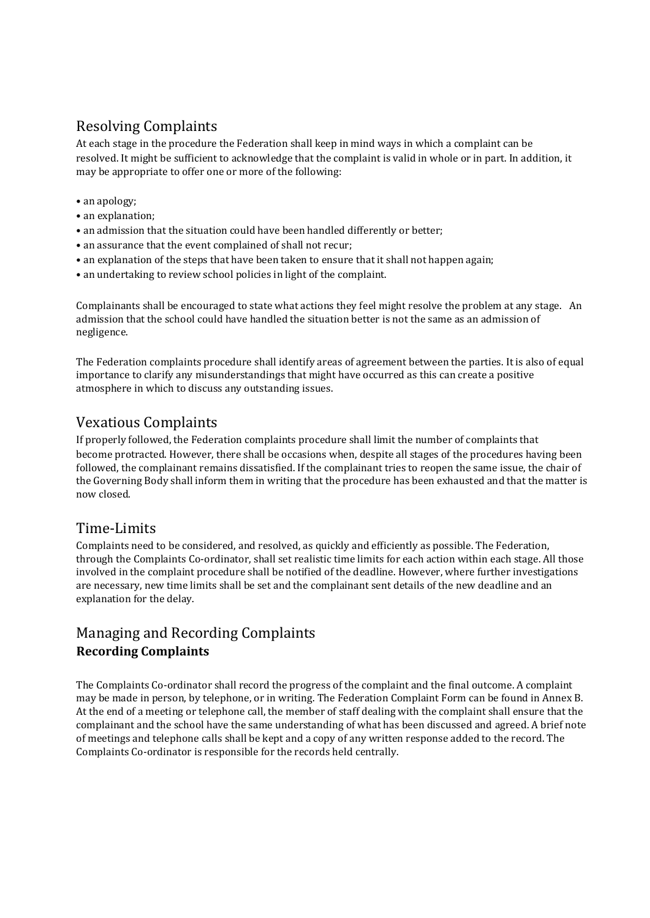# Resolving Complaints

At each stage in the procedure the Federation shall keep in mind ways in which a complaint can be resolved. It might be sufficient to acknowledge that the complaint is valid in whole or in part. In addition, it may be appropriate to offer one or more of the following:

- an apology;
- an explanation;
- an admission that the situation could have been handled differently or better;
- an assurance that the event complained of shall not recur;
- an explanation of the steps that have been taken to ensure that it shall not happen again;
- an undertaking to review school policies in light of the complaint.

Complainants shall be encouraged to state what actions they feel might resolve the problem at any stage. An admission that the school could have handled the situation better is not the same as an admission of negligence.

The Federation complaints procedure shall identify areas of agreement between the parties. It is also of equal importance to clarify any misunderstandings that might have occurred as this can create a positive atmosphere in which to discuss any outstanding issues.

# Vexatious Complaints

If properly followed, the Federation complaints procedure shall limit the number of complaints that become protracted. However, there shall be occasions when, despite all stages of the procedures having been followed, the complainant remains dissatisfied. If the complainant tries to reopen the same issue, the chair of the Governing Body shall inform them in writing that the procedure has been exhausted and that the matter is now closed.

# Time-Limits

Complaints need to be considered, and resolved, as quickly and efficiently as possible. The Federation, through the Complaints Co-ordinator, shall set realistic time limits for each action within each stage. All those involved in the complaint procedure shall be notified of the deadline. However, where further investigations are necessary, new time limits shall be set and the complainant sent details of the new deadline and an explanation for the delay.

# Managing and Recording Complaints **Recording Complaints**

The Complaints Co-ordinator shall record the progress of the complaint and the final outcome. A complaint may be made in person, by telephone, or in writing. The Federation Complaint Form can be found in Annex B. At the end of a meeting or telephone call, the member of staff dealing with the complaint shall ensure that the complainant and the school have the same understanding of what has been discussed and agreed. A brief note of meetings and telephone calls shall be kept and a copy of any written response added to the record. The Complaints Co-ordinator is responsible for the records held centrally.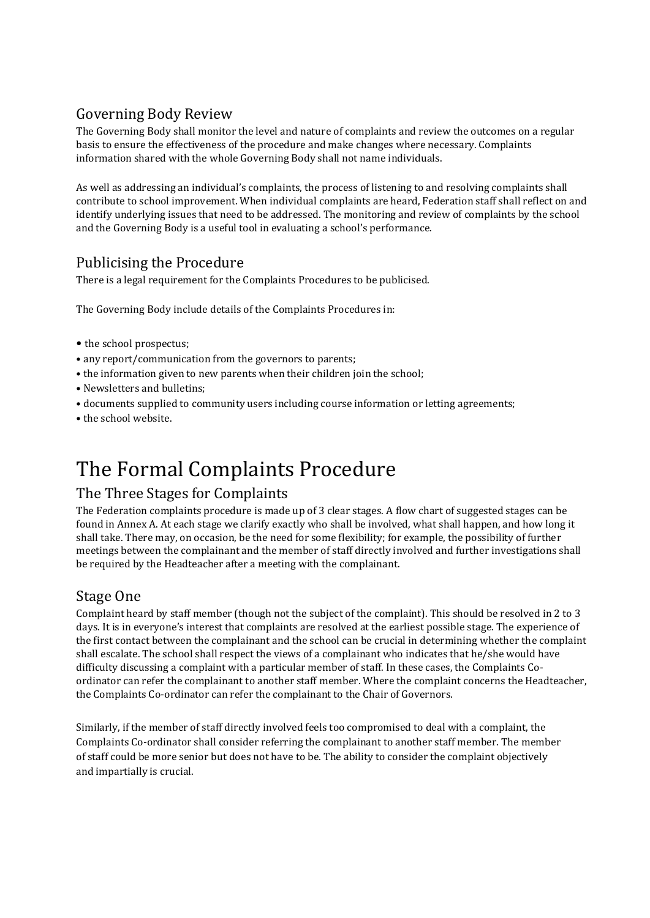# Governing Body Review

The Governing Body shall monitor the level and nature of complaints and review the outcomes on a regular basis to ensure the effectiveness of the procedure and make changes where necessary. Complaints information shared with the whole Governing Body shall not name individuals.

As well as addressing an individual's complaints, the process of listening to and resolving complaints shall contribute to school improvement. When individual complaints are heard, Federation staff shall reflect on and identify underlying issues that need to be addressed. The monitoring and review of complaints by the school and the Governing Body is a useful tool in evaluating a school's performance.

# Publicising the Procedure

There is a legal requirement for the Complaints Procedures to be publicised.

The Governing Body include details of the Complaints Procedures in:

- the school prospectus;
- any report/communication from the governors to parents;
- the information given to new parents when their children join the school;
- Newsletters and bulletins;
- documents supplied to community users including course information or letting agreements;
- the school website.

# The Formal Complaints Procedure

### The Three Stages for Complaints

The Federation complaints procedure is made up of 3 clear stages. A flow chart of suggested stages can be found in Annex A. At each stage we clarify exactly who shall be involved, what shall happen, and how long it shall take. There may, on occasion, be the need for some flexibility; for example, the possibility of further meetings between the complainant and the member of staff directly involved and further investigations shall be required by the Headteacher after a meeting with the complainant.

# Stage One

Complaint heard by staff member (though not the subject of the complaint). This should be resolved in 2 to 3 days. It is in everyone's interest that complaints are resolved at the earliest possible stage. The experience of the first contact between the complainant and the school can be crucial in determining whether the complaint shall escalate. The school shall respect the views of a complainant who indicates that he/she would have difficulty discussing a complaint with a particular member of staff. In these cases, the Complaints Coordinator can refer the complainant to another staff member. Where the complaint concerns the Headteacher, the Complaints Co-ordinator can refer the complainant to the Chair of Governors.

Similarly, if the member of staff directly involved feels too compromised to deal with a complaint, the Complaints Co-ordinator shall consider referring the complainant to another staff member. The member of staff could be more senior but does not have to be. The ability to consider the complaint objectively and impartially is crucial.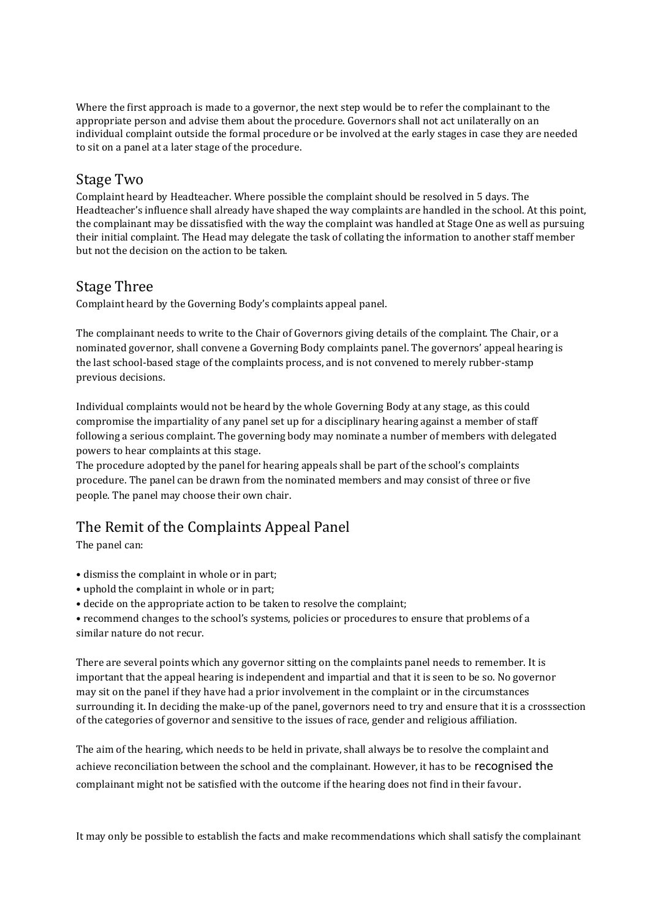Where the first approach is made to a governor, the next step would be to refer the complainant to the appropriate person and advise them about the procedure. Governors shall not act unilaterally on an individual complaint outside the formal procedure or be involved at the early stages in case they are needed to sit on a panel at a later stage of the procedure.

### Stage Two

Complaint heard by Headteacher. Where possible the complaint should be resolved in 5 days. The Headteacher's influence shall already have shaped the way complaints are handled in the school. At this point, the complainant may be dissatisfied with the way the complaint was handled at Stage One as well as pursuing their initial complaint. The Head may delegate the task of collating the information to another staff member but not the decision on the action to be taken.

# Stage Three

Complaint heard by the Governing Body's complaints appeal panel.

The complainant needs to write to the Chair of Governors giving details of the complaint. The Chair, or a nominated governor, shall convene a Governing Body complaints panel. The governors' appeal hearing is the last school-based stage of the complaints process, and is not convened to merely rubber-stamp previous decisions.

Individual complaints would not be heard by the whole Governing Body at any stage, as this could compromise the impartiality of any panel set up for a disciplinary hearing against a member of staff following a serious complaint. The governing body may nominate a number of members with delegated powers to hear complaints at this stage.

The procedure adopted by the panel for hearing appeals shall be part of the school's complaints procedure. The panel can be drawn from the nominated members and may consist of three or five people. The panel may choose their own chair.

# The Remit of the Complaints Appeal Panel

The panel can:

- dismiss the complaint in whole or in part;
- uphold the complaint in whole or in part;
- decide on the appropriate action to be taken to resolve the complaint;

• recommend changes to the school's systems, policies or procedures to ensure that problems of a similar nature do not recur.

There are several points which any governor sitting on the complaints panel needs to remember. It is important that the appeal hearing is independent and impartial and that it is seen to be so. No governor may sit on the panel if they have had a prior involvement in the complaint or in the circumstances surrounding it. In deciding the make-up of the panel, governors need to try and ensure that it is a crosssection of the categories of governor and sensitive to the issues of race, gender and religious affiliation.

The aim of the hearing, which needs to be held in private, shall always be to resolve the complaint and achieve reconciliation between the school and the complainant. However, it has to be recognised the complainant might not be satisfied with the outcome if the hearing does not find in their favour.

It may only be possible to establish the facts and make recommendations which shall satisfy the complainant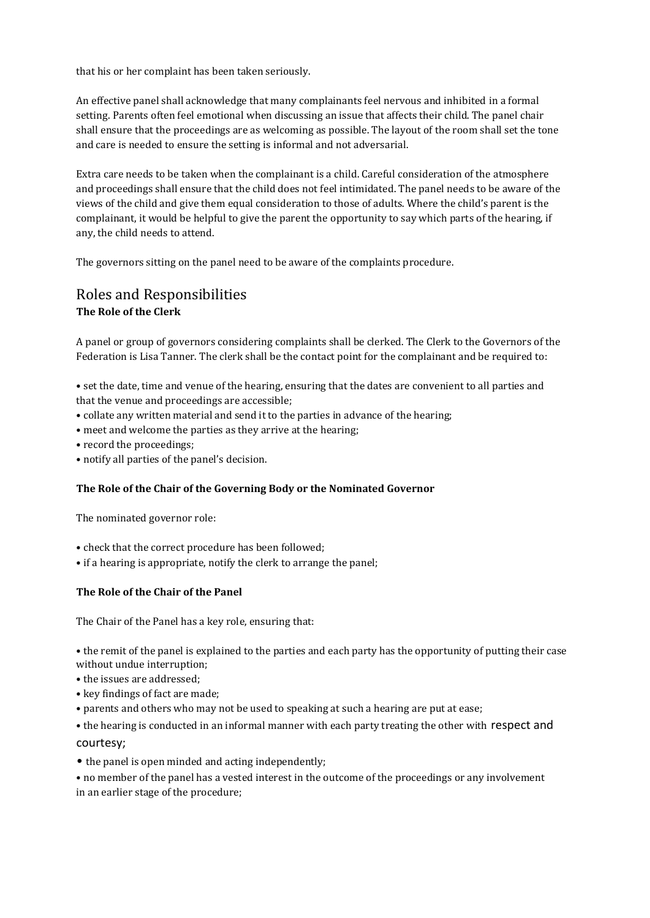that his or her complaint has been taken seriously.

An effective panel shall acknowledge that many complainants feel nervous and inhibited in a formal setting. Parents often feel emotional when discussing an issue that affects their child. The panel chair shall ensure that the proceedings are as welcoming as possible. The layout of the room shall set the tone and care is needed to ensure the setting is informal and not adversarial.

Extra care needs to be taken when the complainant is a child. Careful consideration of the atmosphere and proceedings shall ensure that the child does not feel intimidated. The panel needs to be aware of the views of the child and give them equal consideration to those of adults. Where the child's parent is the complainant, it would be helpful to give the parent the opportunity to say which parts of the hearing, if any, the child needs to attend.

The governors sitting on the panel need to be aware of the complaints procedure.

### Roles and Responsibilities **The Role of the Clerk**

A panel or group of governors considering complaints shall be clerked. The Clerk to the Governors of the Federation is Lisa Tanner. The clerk shall be the contact point for the complainant and be required to:

• set the date, time and venue of the hearing, ensuring that the dates are convenient to all parties and that the venue and proceedings are accessible;

- collate any written material and send it to the parties in advance of the hearing;
- meet and welcome the parties as they arrive at the hearing;
- record the proceedings;
- notify all parties of the panel's decision.

#### **The Role of the Chair of the Governing Body or the Nominated Governor**

The nominated governor role:

- check that the correct procedure has been followed;
- if a hearing is appropriate, notify the clerk to arrange the panel;

#### **The Role of the Chair of the Panel**

The Chair of the Panel has a key role, ensuring that:

• the remit of the panel is explained to the parties and each party has the opportunity of putting their case without undue interruption;

- the issues are addressed;
- key findings of fact are made;
- parents and others who may not be used to speaking at such a hearing are put at ease;

• the hearing is conducted in an informal manner with each party treating the other with respect and courtesy;

• the panel is open minded and acting independently;

• no member of the panel has a vested interest in the outcome of the proceedings or any involvement in an earlier stage of the procedure;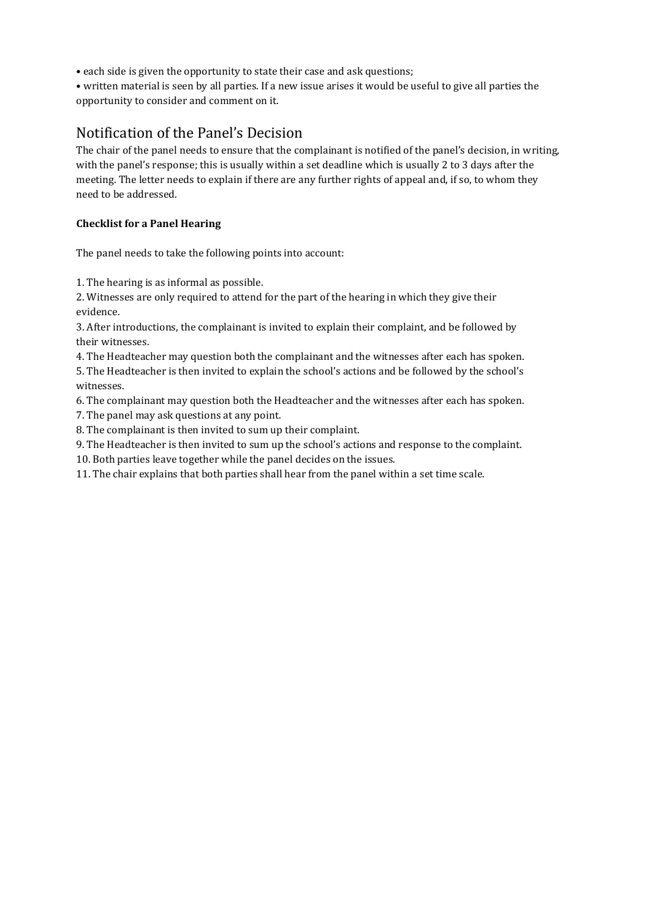• each side is given the opportunity to state their case and ask questions;

• written material is seen by all parties. If a new issue arises it would be useful to give all parties the opportunity to consider and comment on it.

# Notification of the Panel's Decision

The chair of the panel needs to ensure that the complainant is notified of the panel's decision, in writing, with the panel's response; this is usually within a set deadline which is usually 2 to 3 days after the meeting. The letter needs to explain if there are any further rights of appeal and, if so, to whom they need to be addressed.

#### **Checklist for a Panel Hearing**

The panel needs to take the following points into account:

1. The hearing is as informal as possible.

2. Witnesses are only required to attend for the part of the hearing in which they give their evidence.

3. After introductions, the complainant is invited to explain their complaint, and be followed by their witnesses.

4. The Headteacher may question both the complainant and the witnesses after each has spoken.

5. The Headteacher is then invited to explain the school's actions and be followed by the school's witnesses.

6. The complainant may question both the Headteacher and the witnesses after each has spoken.

7. The panel may ask questions at any point.

8. The complainant is then invited to sum up their complaint.

9. The Headteacher is then invited to sum up the school's actions and response to the complaint.

10. Both parties leave together while the panel decides on the issues.

11. The chair explains that both parties shall hear from the panel within a set time scale.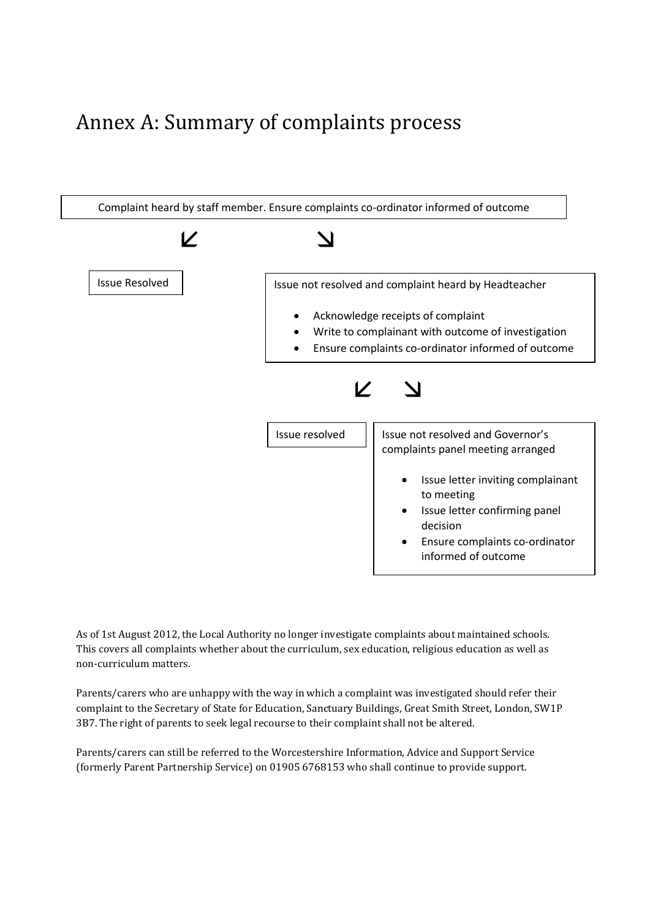# Annex A: Summary of complaints process



As of 1st August 2012, the Local Authority no longer investigate complaints about maintained schools. This covers all complaints whether about the curriculum, sex education, religious education as well as non-curriculum matters.

Parents/carers who are unhappy with the way in which a complaint was investigated should refer their complaint to the Secretary of State for Education, Sanctuary Buildings, Great Smith Street, London, SW1P 3B7. The right of parents to seek legal recourse to their complaint shall not be altered.

Parents/carers can still be referred to the Worcestershire Information, Advice and Support Service (formerly Parent Partnership Service) on 01905 6768153 who shall continue to provide support.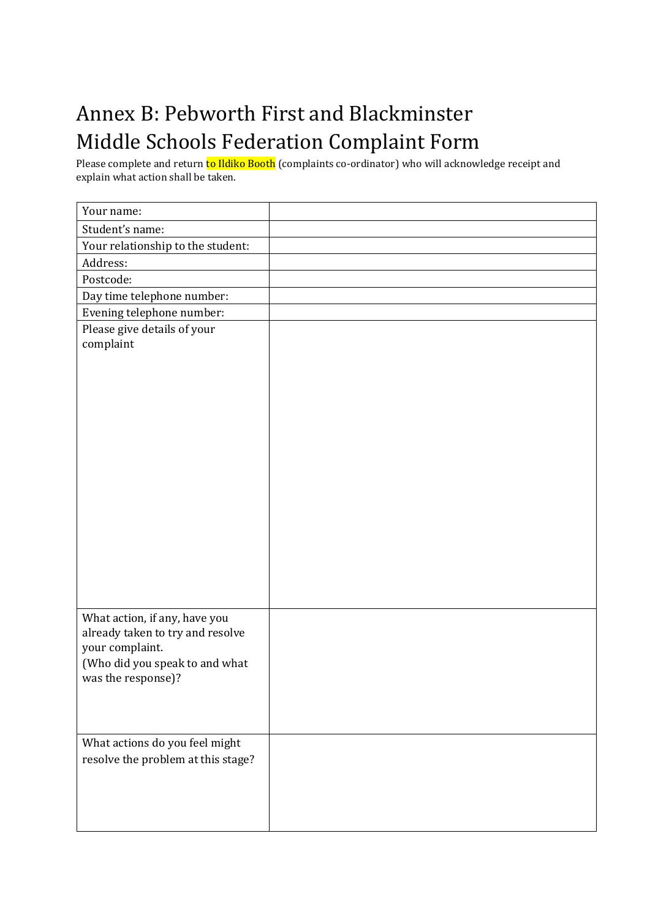# Annex B: Pebworth First and Blackminster Middle Schools Federation Complaint Form

Please complete and return **to Ildiko Booth** (complaints co-ordinator) who will acknowledge receipt and explain what action shall be taken.

| Your name:                                           |  |
|------------------------------------------------------|--|
| Student's name:                                      |  |
| Your relationship to the student:                    |  |
| Address:                                             |  |
| Postcode:                                            |  |
| Day time telephone number:                           |  |
| Evening telephone number:                            |  |
| Please give details of your                          |  |
| complaint                                            |  |
|                                                      |  |
|                                                      |  |
|                                                      |  |
|                                                      |  |
|                                                      |  |
|                                                      |  |
|                                                      |  |
|                                                      |  |
|                                                      |  |
|                                                      |  |
|                                                      |  |
|                                                      |  |
|                                                      |  |
|                                                      |  |
|                                                      |  |
| What action, if any, have you                        |  |
| already taken to try and resolve                     |  |
| your complaint.                                      |  |
| (Who did you speak to and what<br>was the response)? |  |
|                                                      |  |
|                                                      |  |
|                                                      |  |
| What actions do you feel might                       |  |
| resolve the problem at this stage?                   |  |
|                                                      |  |
|                                                      |  |
|                                                      |  |
|                                                      |  |